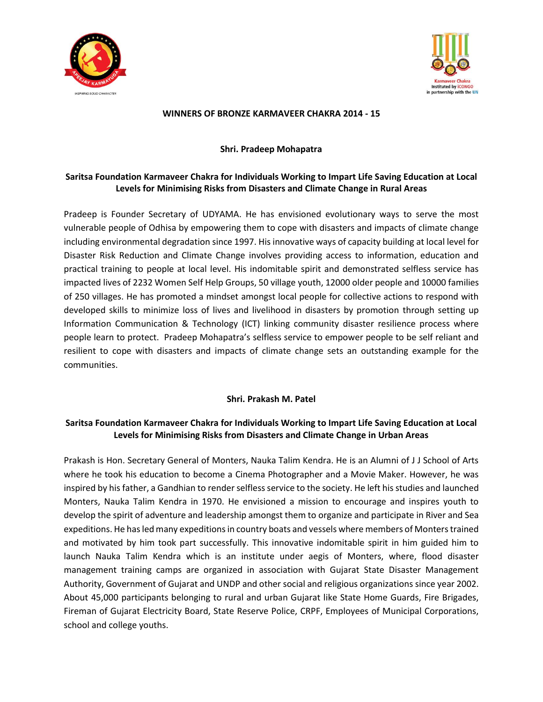



#### **WINNERS OF BRONZE KARMAVEER CHAKRA 2014 - 15**

#### **Shri. Pradeep Mohapatra**

## **Saritsa Foundation Karmaveer Chakra for Individuals Working to Impart Life Saving Education at Local Levels for Minimising Risks from Disasters and Climate Change in Rural Areas**

Pradeep is Founder Secretary of UDYAMA. He has envisioned evolutionary ways to serve the most vulnerable people of Odhisa by empowering them to cope with disasters and impacts of climate change including environmental degradation since 1997. His innovative ways of capacity building at local level for Disaster Risk Reduction and Climate Change involves providing access to information, education and practical training to people at local level. His indomitable spirit and demonstrated selfless service has impacted lives of 2232 Women Self Help Groups, 50 village youth, 12000 older people and 10000 families of 250 villages. He has promoted a mindset amongst local people for collective actions to respond with developed skills to minimize loss of lives and livelihood in disasters by promotion through setting up Information Communication & Technology (ICT) linking community disaster resilience process where people learn to protect. Pradeep Mohapatra's selfless service to empower people to be self reliant and resilient to cope with disasters and impacts of climate change sets an outstanding example for the communities.

## **Shri. Prakash M. Patel**

## **Saritsa Foundation Karmaveer Chakra for Individuals Working to Impart Life Saving Education at Local Levels for Minimising Risks from Disasters and Climate Change in Urban Areas**

Prakash is Hon. Secretary General of Monters, Nauka Talim Kendra. He is an Alumni of J J School of Arts where he took his education to become a Cinema Photographer and a Movie Maker. However, he was inspired by his father, a Gandhian to render selfless service to the society. He left his studies and launched Monters, Nauka Talim Kendra in 1970. He envisioned a mission to encourage and inspires youth to develop the spirit of adventure and leadership amongst them to organize and participate in River and Sea expeditions. He has led many expeditions in country boats and vessels where members of Monters trained and motivated by him took part successfully. This innovative indomitable spirit in him guided him to launch Nauka Talim Kendra which is an institute under aegis of Monters, where, flood disaster management training camps are organized in association with Gujarat State Disaster Management Authority, Government of Gujarat and UNDP and other social and religious organizations since year 2002. About 45,000 participants belonging to rural and urban Gujarat like State Home Guards, Fire Brigades, Fireman of Gujarat Electricity Board, State Reserve Police, CRPF, Employees of Municipal Corporations, school and college youths.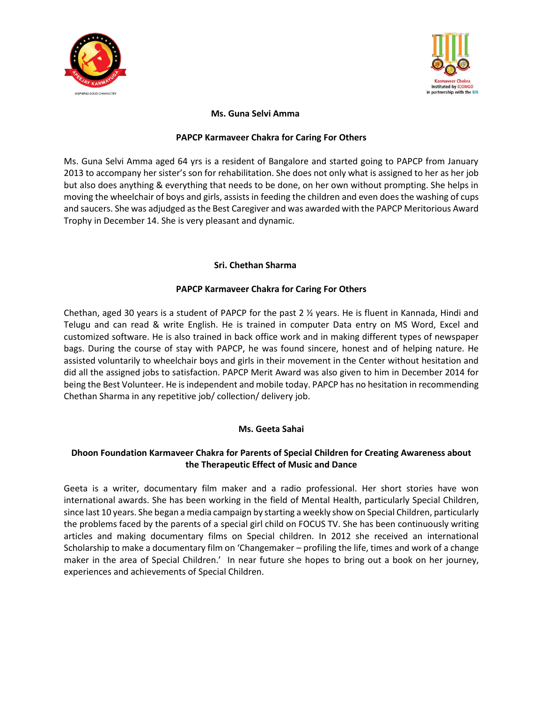



#### **Ms. Guna Selvi Amma**

#### **PAPCP Karmaveer Chakra for Caring For Others**

Ms. Guna Selvi Amma aged 64 yrs is a resident of Bangalore and started going to PAPCP from January 2013 to accompany her sister's son for rehabilitation. She does not only what is assigned to her as her job but also does anything & everything that needs to be done, on her own without prompting. She helps in moving the wheelchair of boys and girls, assists in feeding the children and even does the washing of cups and saucers. She was adjudged as the Best Caregiver and was awarded with the PAPCP Meritorious Award Trophy in December 14. She is very pleasant and dynamic.

#### **Sri. Chethan Sharma**

#### **PAPCP Karmaveer Chakra for Caring For Others**

Chethan, aged 30 years is a student of PAPCP for the past 2 ½ years. He is fluent in Kannada, Hindi and Telugu and can read & write English. He is trained in computer Data entry on MS Word, Excel and customized software. He is also trained in back office work and in making different types of newspaper bags. During the course of stay with PAPCP, he was found sincere, honest and of helping nature. He assisted voluntarily to wheelchair boys and girls in their movement in the Center without hesitation and did all the assigned jobs to satisfaction. PAPCP Merit Award was also given to him in December 2014 for being the Best Volunteer. He is independent and mobile today. PAPCP has no hesitation in recommending Chethan Sharma in any repetitive job/ collection/ delivery job.

## **Ms. Geeta Sahai**

## **Dhoon Foundation Karmaveer Chakra for Parents of Special Children for Creating Awareness about the Therapeutic Effect of Music and Dance**

Geeta is a writer, documentary film maker and a radio professional. Her short stories have won international awards. She has been working in the field of Mental Health, particularly Special Children, since last 10 years. She began a media campaign by starting a weekly show on Special Children, particularly the problems faced by the parents of a special girl child on FOCUS TV. She has been continuously writing articles and making documentary films on Special children. In 2012 she received an international Scholarship to make a documentary film on 'Changemaker – profiling the life, times and work of a change maker in the area of Special Children.' In near future she hopes to bring out a book on her journey, experiences and achievements of Special Children.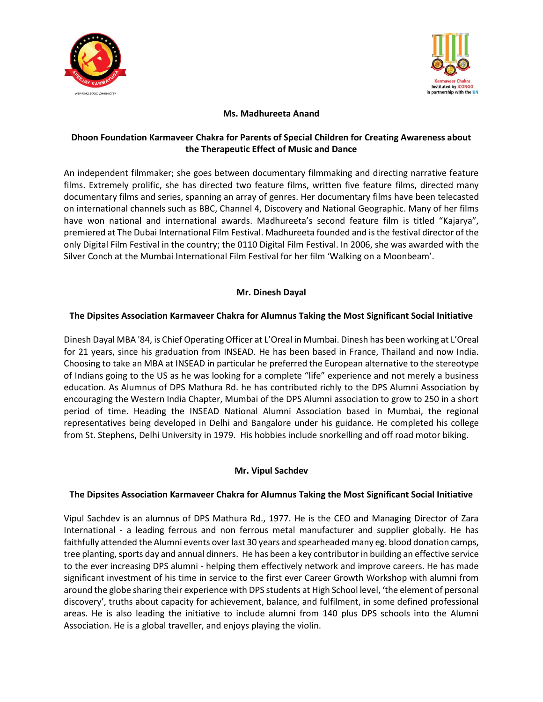



## **Ms. Madhureeta Anand**

## **Dhoon Foundation Karmaveer Chakra for Parents of Special Children for Creating Awareness about the Therapeutic Effect of Music and Dance**

An independent filmmaker; she goes between documentary filmmaking and directing narrative feature films. Extremely prolific, she has directed two feature films, written five feature films, directed many documentary films and series, spanning an array of genres. Her documentary films have been telecasted on international channels such as BBC, Channel 4, Discovery and National Geographic. Many of her films have won national and international awards. Madhureeta's second feature film is titled "Kajarya", premiered at The Dubai International Film Festival. Madhureeta founded and is the festival director of the only Digital Film Festival in the country; the 0110 Digital Film Festival. In 2006, she was awarded with the Silver Conch at the Mumbai International Film Festival for her film 'Walking on a Moonbeam'.

#### **Mr. Dinesh Dayal**

#### **The Dipsites Association Karmaveer Chakra for Alumnus Taking the Most Significant Social Initiative**

Dinesh Dayal MBA '84, is Chief Operating Officer at L'Oreal in Mumbai. Dinesh has been working at L'Oreal for 21 years, since his graduation from INSEAD. He has been based in France, Thailand and now India. Choosing to take an MBA at INSEAD in particular he preferred the European alternative to the stereotype of Indians going to the US as he was looking for a complete "life" experience and not merely a business education. As Alumnus of DPS Mathura Rd. he has contributed richly to the DPS Alumni Association by encouraging the Western India Chapter, Mumbai of the DPS Alumni association to grow to 250 in a short period of time. Heading the INSEAD National Alumni Association based in Mumbai, the regional representatives being developed in Delhi and Bangalore under his guidance. He completed his college from St. Stephens, Delhi University in 1979. His hobbies include snorkelling and off road motor biking.

## **Mr. Vipul Sachdev**

#### **The Dipsites Association Karmaveer Chakra for Alumnus Taking the Most Significant Social Initiative**

Vipul Sachdev is an alumnus of DPS Mathura Rd., 1977. He is the CEO and Managing Director of Zara International - a leading ferrous and non ferrous metal manufacturer and supplier globally. He has faithfully attended the Alumni events over last 30 years and spearheaded many eg. blood donation camps, tree planting, sports day and annual dinners. He has been a key contributor in building an effective service to the ever increasing DPS alumni - helping them effectively network and improve careers. He has made significant investment of his time in service to the first ever Career Growth Workshop with alumni from around the globe sharing their experience with DPS students at High School level, 'the element of personal discovery', truths about capacity for achievement, balance, and fulfilment, in some defined professional areas. He is also leading the initiative to include alumni from 140 plus DPS schools into the Alumni Association. He is a global traveller, and enjoys playing the violin.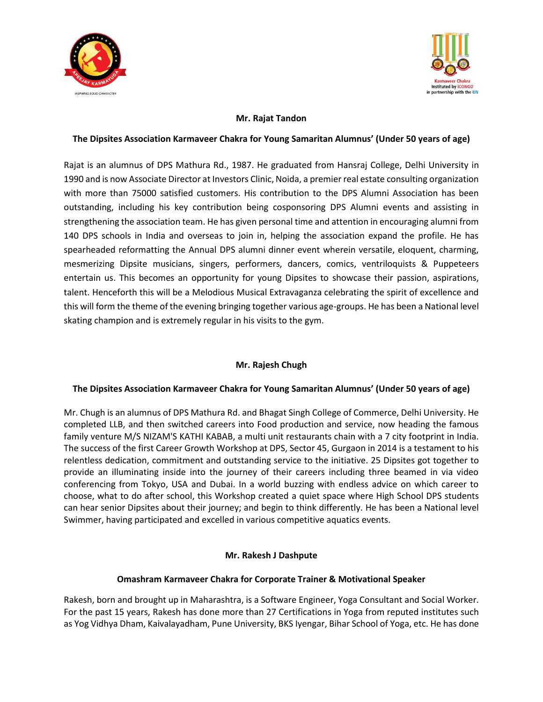



#### **Mr. Rajat Tandon**

#### **The Dipsites Association Karmaveer Chakra for Young Samaritan Alumnus' (Under 50 years of age)**

Rajat is an alumnus of DPS Mathura Rd., 1987. He graduated from Hansraj College, Delhi University in 1990 and is now Associate Director at Investors Clinic, Noida, a premier real estate consulting organization with more than 75000 satisfied customers. His contribution to the DPS Alumni Association has been outstanding, including his key contribution being cosponsoring DPS Alumni events and assisting in strengthening the association team. He has given personal time and attention in encouraging alumni from 140 DPS schools in India and overseas to join in, helping the association expand the profile. He has spearheaded reformatting the Annual DPS alumni dinner event wherein versatile, eloquent, charming, mesmerizing Dipsite musicians, singers, performers, dancers, comics, ventriloquists & Puppeteers entertain us. This becomes an opportunity for young Dipsites to showcase their passion, aspirations, talent. Henceforth this will be a Melodious Musical Extravaganza celebrating the spirit of excellence and this will form the theme of the evening bringing together various age-groups. He has been a National level skating champion and is extremely regular in his visits to the gym.

## **Mr. Rajesh Chugh**

## **The Dipsites Association Karmaveer Chakra for Young Samaritan Alumnus' (Under 50 years of age)**

Mr. Chugh is an alumnus of DPS Mathura Rd. and Bhagat Singh College of Commerce, Delhi University. He completed LLB, and then switched careers into Food production and service, now heading the famous family venture M/S NIZAM'S KATHI KABAB, a multi unit restaurants chain with a 7 city footprint in India. The success of the first Career Growth Workshop at DPS, Sector 45, Gurgaon in 2014 is a testament to his relentless dedication, commitment and outstanding service to the initiative. 25 Dipsites got together to provide an illuminating inside into the journey of their careers including three beamed in via video conferencing from Tokyo, USA and Dubai. In a world buzzing with endless advice on which career to choose, what to do after school, this Workshop created a quiet space where High School DPS students can hear senior Dipsites about their journey; and begin to think differently. He has been a National level Swimmer, having participated and excelled in various competitive aquatics events.

## **Mr. Rakesh J Dashpute**

## **Omashram Karmaveer Chakra for Corporate Trainer & Motivational Speaker**

Rakesh, born and brought up in Maharashtra, is a Software Engineer, Yoga Consultant and Social Worker. For the past 15 years, Rakesh has done more than 27 Certifications in Yoga from reputed institutes such as Yog Vidhya Dham, Kaivalayadham, Pune University, BKS Iyengar, Bihar School of Yoga, etc. He has done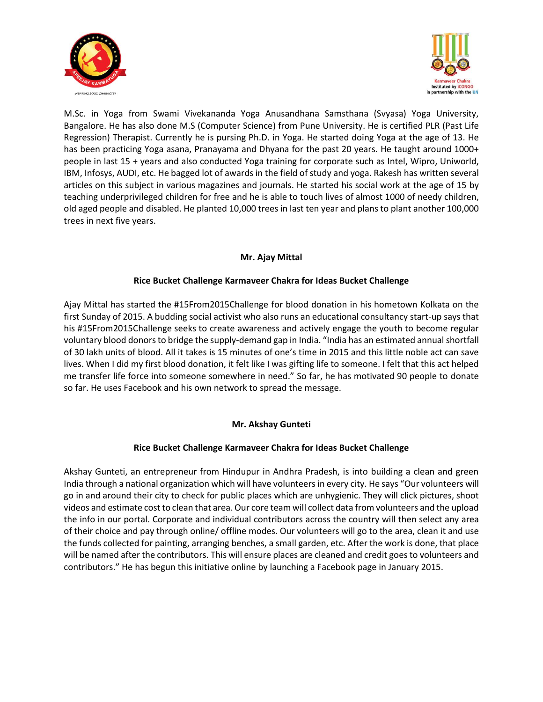



M.Sc. in Yoga from Swami Vivekananda Yoga Anusandhana Samsthana (Svyasa) Yoga University, Bangalore. He has also done M.S (Computer Science) from Pune University. He is certified PLR (Past Life Regression) Therapist. Currently he is pursing Ph.D. in Yoga. He started doing Yoga at the age of 13. He has been practicing Yoga asana, Pranayama and Dhyana for the past 20 years. He taught around 1000+ people in last 15 + years and also conducted Yoga training for corporate such as Intel, Wipro, Uniworld, IBM, Infosys, AUDI, etc. He bagged lot of awards in the field of study and yoga. Rakesh has written several articles on this subject in various magazines and journals. He started his social work at the age of 15 by teaching underprivileged children for free and he is able to touch lives of almost 1000 of needy children, old aged people and disabled. He planted 10,000 trees in last ten year and plans to plant another 100,000 trees in next five years.

#### **Mr. Ajay Mittal**

## **Rice Bucket Challenge Karmaveer Chakra for Ideas Bucket Challenge**

Ajay Mittal has started the #15From2015Challenge for blood donation in his hometown Kolkata on the first Sunday of 2015. A budding social activist who also runs an educational consultancy start-up says that his #15From2015Challenge seeks to create awareness and actively engage the youth to become regular voluntary blood donors to bridge the supply-demand gap in India. "India has an estimated annual shortfall of 30 lakh units of blood. All it takes is 15 minutes of one's time in 2015 and this little noble act can save lives. When I did my first blood donation, it felt like I was gifting life to someone. I felt that this act helped me transfer life force into someone somewhere in need." So far, he has motivated 90 people to donate so far. He uses Facebook and his own network to spread the message.

## **Mr. Akshay Gunteti**

## **Rice Bucket Challenge Karmaveer Chakra for Ideas Bucket Challenge**

Akshay Gunteti, an entrepreneur from Hindupur in Andhra Pradesh, is into building a clean and green India through a national organization which will have volunteers in every city. He says "Our volunteers will go in and around their city to check for public places which are unhygienic. They will click pictures, shoot videos and estimate cost to clean that area. Our core team will collect data from volunteers and the upload the info in our portal. Corporate and individual contributors across the country will then select any area of their choice and pay through online/ offline modes. Our volunteers will go to the area, clean it and use the funds collected for painting, arranging benches, a small garden, etc. After the work is done, that place will be named after the contributors. This will ensure places are cleaned and credit goes to volunteers and contributors." He has begun this initiative online by launching a Facebook page in January 2015.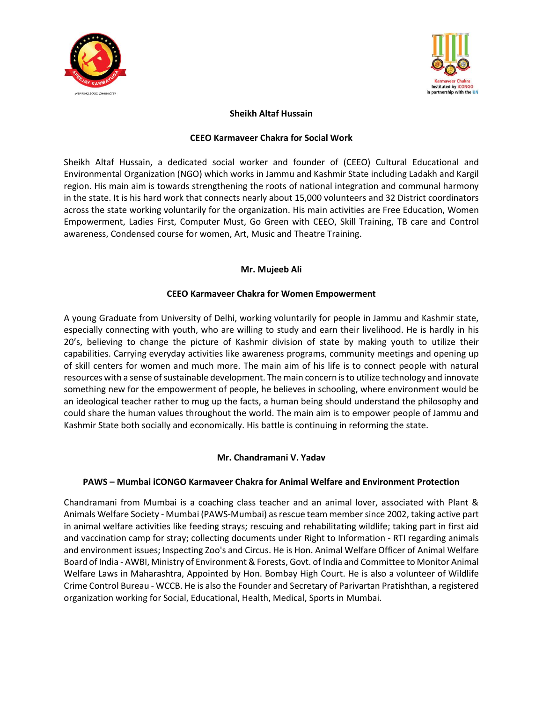



#### **Sheikh Altaf Hussain**

#### **CEEO Karmaveer Chakra for Social Work**

Sheikh Altaf Hussain, a dedicated social worker and founder of (CEEO) Cultural Educational and Environmental Organization (NGO) which works in Jammu and Kashmir State including Ladakh and Kargil region. His main aim is towards strengthening the roots of national integration and communal harmony in the state. It is his hard work that connects nearly about 15,000 volunteers and 32 District coordinators across the state working voluntarily for the organization. His main activities are Free Education, Women Empowerment, Ladies First, Computer Must, Go Green with CEEO, Skill Training, TB care and Control awareness, Condensed course for women, Art, Music and Theatre Training.

#### **Mr. Mujeeb Ali**

#### **CEEO Karmaveer Chakra for Women Empowerment**

A young Graduate from University of Delhi, working voluntarily for people in Jammu and Kashmir state, especially connecting with youth, who are willing to study and earn their livelihood. He is hardly in his 20's, believing to change the picture of Kashmir division of state by making youth to utilize their capabilities. Carrying everyday activities like awareness programs, community meetings and opening up of skill centers for women and much more. The main aim of his life is to connect people with natural resources with a sense of sustainable development. The main concern is to utilize technology and innovate something new for the empowerment of people, he believes in schooling, where environment would be an ideological teacher rather to mug up the facts, a human being should understand the philosophy and could share the human values throughout the world. The main aim is to empower people of Jammu and Kashmir State both socially and economically. His battle is continuing in reforming the state.

#### **Mr. Chandramani V. Yadav**

#### **PAWS – Mumbai iCONGO Karmaveer Chakra for Animal Welfare and Environment Protection**

Chandramani from Mumbai is a coaching class teacher and an animal lover, associated with Plant & Animals Welfare Society - Mumbai (PAWS-Mumbai) as rescue team member since 2002, taking active part in animal welfare activities like feeding strays; rescuing and rehabilitating wildlife; taking part in first aid and vaccination camp for stray; collecting documents under Right to Information - RTI regarding animals and environment issues; Inspecting Zoo's and Circus. He is Hon. Animal Welfare Officer of Animal Welfare Board of India - AWBI, Ministry of Environment & Forests, Govt. of India and Committee to Monitor Animal Welfare Laws in Maharashtra, Appointed by Hon. Bombay High Court. He is also a volunteer of Wildlife Crime Control Bureau - WCCB. He is also the Founder and Secretary of Parivartan Pratishthan, a registered organization working for Social, Educational, Health, Medical, Sports in Mumbai.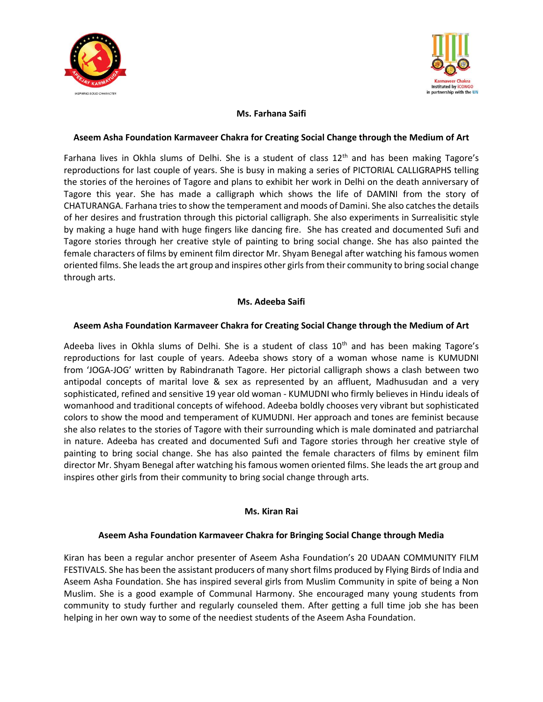



## **Ms. Farhana Saifi**

#### **Aseem Asha Foundation Karmaveer Chakra for Creating Social Change through the Medium of Art**

Farhana lives in Okhla slums of Delhi. She is a student of class 12<sup>th</sup> and has been making Tagore's reproductions for last couple of years. She is busy in making a series of PICTORIAL CALLIGRAPHS telling the stories of the heroines of Tagore and plans to exhibit her work in Delhi on the death anniversary of Tagore this year. She has made a calligraph which shows the life of DAMINI from the story of CHATURANGA. Farhana tries to show the temperament and moods of Damini. She also catches the details of her desires and frustration through this pictorial calligraph. She also experiments in Surrealisitic style by making a huge hand with huge fingers like dancing fire. She has created and documented Sufi and Tagore stories through her creative style of painting to bring social change. She has also painted the female characters of films by eminent film director Mr. Shyam Benegal after watching his famous women oriented films. She leads the art group and inspires other girls from their community to bring social change through arts.

#### **Ms. Adeeba Saifi**

#### **Aseem Asha Foundation Karmaveer Chakra for Creating Social Change through the Medium of Art**

Adeeba lives in Okhla slums of Delhi. She is a student of class  $10<sup>th</sup>$  and has been making Tagore's reproductions for last couple of years. Adeeba shows story of a woman whose name is KUMUDNI from 'JOGA-JOG' written by Rabindranath Tagore. Her pictorial calligraph shows a clash between two antipodal concepts of marital love & sex as represented by an affluent, Madhusudan and a very sophisticated, refined and sensitive 19 year old woman - KUMUDNI who firmly believes in Hindu ideals of womanhood and traditional concepts of wifehood. Adeeba boldly chooses very vibrant but sophisticated colors to show the mood and temperament of KUMUDNI. Her approach and tones are feminist because she also relates to the stories of Tagore with their surrounding which is male dominated and patriarchal in nature. Adeeba has created and documented Sufi and Tagore stories through her creative style of painting to bring social change. She has also painted the female characters of films by eminent film director Mr. Shyam Benegal after watching his famous women oriented films. She leads the art group and inspires other girls from their community to bring social change through arts.

#### **Ms. Kiran Rai**

#### **Aseem Asha Foundation Karmaveer Chakra for Bringing Social Change through Media**

Kiran has been a regular anchor presenter of Aseem Asha Foundation's 20 UDAAN COMMUNITY FILM FESTIVALS. She has been the assistant producers of many short films produced by Flying Birds of India and Aseem Asha Foundation. She has inspired several girls from Muslim Community in spite of being a Non Muslim. She is a good example of Communal Harmony. She encouraged many young students from community to study further and regularly counseled them. After getting a full time job she has been helping in her own way to some of the neediest students of the Aseem Asha Foundation.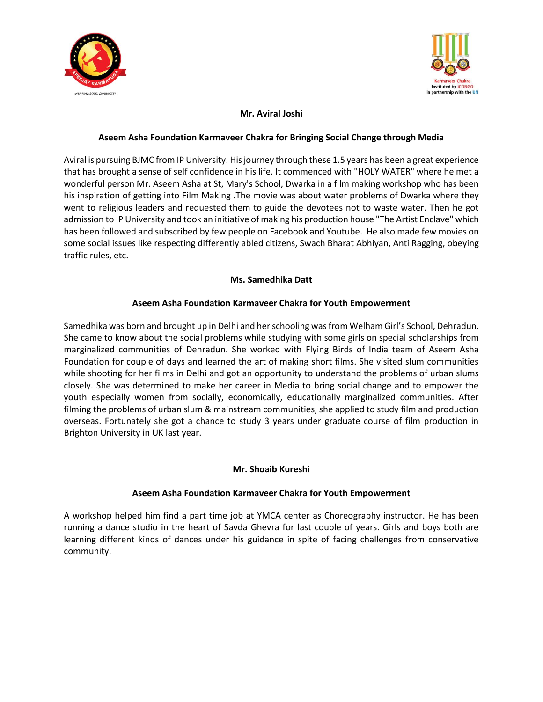



# **Mr. Aviral Joshi**

#### **Aseem Asha Foundation Karmaveer Chakra for Bringing Social Change through Media**

Aviral is pursuing BJMC from IP University. His journey through these 1.5 years has been a great experience that has brought a sense of self confidence in his life. It commenced with "HOLY WATER" where he met a wonderful person Mr. Aseem Asha at St, Mary's School, Dwarka in a film making workshop who has been his inspiration of getting into Film Making .The movie was about water problems of Dwarka where they went to religious leaders and requested them to guide the devotees not to waste water. Then he got admission to IP University and took an initiative of making his production house "The Artist Enclave" which has been followed and subscribed by few people on Facebook and Youtube. He also made few movies on some social issues like respecting differently abled citizens, Swach Bharat Abhiyan, Anti Ragging, obeying traffic rules, etc.

#### **Ms. Samedhika Datt**

## **Aseem Asha Foundation Karmaveer Chakra for Youth Empowerment**

Samedhika was born and brought up in Delhi and her schooling was from Welham Girl's School, Dehradun. She came to know about the social problems while studying with some girls on special scholarships from marginalized communities of Dehradun. She worked with Flying Birds of India team of Aseem Asha Foundation for couple of days and learned the art of making short films. She visited slum communities while shooting for her films in Delhi and got an opportunity to understand the problems of urban slums closely. She was determined to make her career in Media to bring social change and to empower the youth especially women from socially, economically, educationally marginalized communities. After filming the problems of urban slum & mainstream communities, she applied to study film and production overseas. Fortunately she got a chance to study 3 years under graduate course of film production in Brighton University in UK last year.

## **Mr. Shoaib Kureshi**

## **Aseem Asha Foundation Karmaveer Chakra for Youth Empowerment**

A workshop helped him find a part time job at YMCA center as Choreography instructor. He has been running a dance studio in the heart of Savda Ghevra for last couple of years. Girls and boys both are learning different kinds of dances under his guidance in spite of facing challenges from conservative community.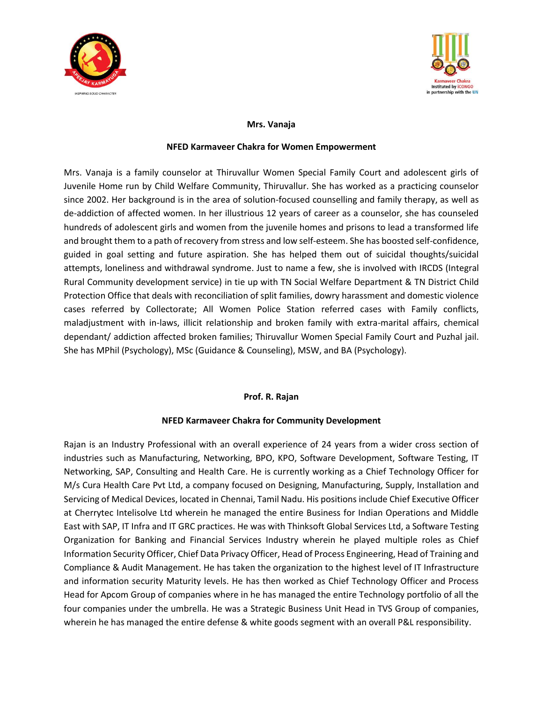



#### **Mrs. Vanaja**

#### **NFED Karmaveer Chakra for Women Empowerment**

Mrs. Vanaja is a family counselor at Thiruvallur Women Special Family Court and adolescent girls of Juvenile Home run by Child Welfare Community, Thiruvallur. She has worked as a practicing counselor since 2002. Her background is in the area of solution-focused counselling and family therapy, as well as de-addiction of affected women. In her illustrious 12 years of career as a counselor, she has counseled hundreds of adolescent girls and women from the juvenile homes and prisons to lead a transformed life and brought them to a path of recovery from stress and low self-esteem. She has boosted self-confidence, guided in goal setting and future aspiration. She has helped them out of suicidal thoughts/suicidal attempts, loneliness and withdrawal syndrome. Just to name a few, she is involved with IRCDS (Integral Rural Community development service) in tie up with TN Social Welfare Department & TN District Child Protection Office that deals with reconciliation of split families, dowry harassment and domestic violence cases referred by Collectorate; All Women Police Station referred cases with Family conflicts, maladjustment with in-laws, illicit relationship and broken family with extra-marital affairs, chemical dependant/ addiction affected broken families; Thiruvallur Women Special Family Court and Puzhal jail. She has MPhil (Psychology), MSc (Guidance & Counseling), MSW, and BA (Psychology).

#### **Prof. R. Rajan**

#### **NFED Karmaveer Chakra for Community Development**

Rajan is an Industry Professional with an overall experience of 24 years from a wider cross section of industries such as Manufacturing, Networking, BPO, KPO, Software Development, Software Testing, IT Networking, SAP, Consulting and Health Care. He is currently working as a Chief Technology Officer for M/s Cura Health Care Pvt Ltd, a company focused on Designing, Manufacturing, Supply, Installation and Servicing of Medical Devices, located in Chennai, Tamil Nadu. His positions include Chief Executive Officer at Cherrytec Intelisolve Ltd wherein he managed the entire Business for Indian Operations and Middle East with SAP, IT Infra and IT GRC practices. He was with Thinksoft Global Services Ltd, a Software Testing Organization for Banking and Financial Services Industry wherein he played multiple roles as Chief Information Security Officer, Chief Data Privacy Officer, Head of Process Engineering, Head of Training and Compliance & Audit Management. He has taken the organization to the highest level of IT Infrastructure and information security Maturity levels. He has then worked as Chief Technology Officer and Process Head for Apcom Group of companies where in he has managed the entire Technology portfolio of all the four companies under the umbrella. He was a Strategic Business Unit Head in TVS Group of companies, wherein he has managed the entire defense & white goods segment with an overall P&L responsibility.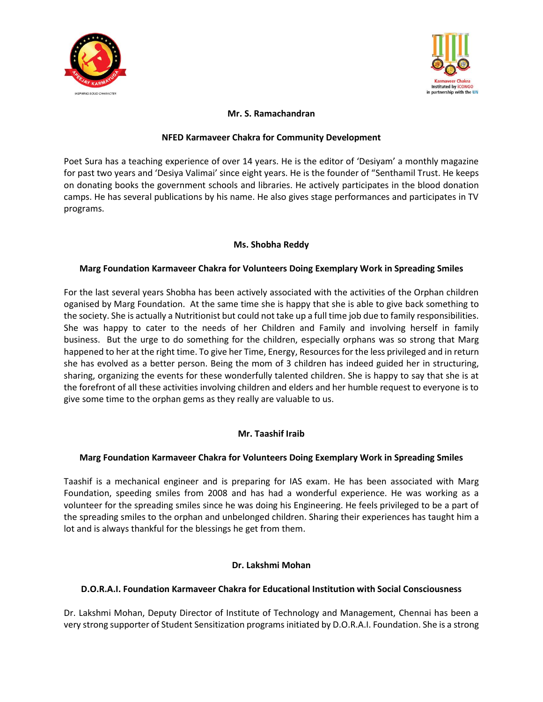



## **Mr. S. Ramachandran**

#### **NFED Karmaveer Chakra for Community Development**

Poet Sura has a teaching experience of over 14 years. He is the editor of 'Desiyam' a monthly magazine for past two years and 'Desiya Valimai' since eight years. He is the founder of "Senthamil Trust. He keeps on donating books the government schools and libraries. He actively participates in the blood donation camps. He has several publications by his name. He also gives stage performances and participates in TV programs.

## **Ms. Shobha Reddy**

#### **Marg Foundation Karmaveer Chakra for Volunteers Doing Exemplary Work in Spreading Smiles**

For the last several years Shobha has been actively associated with the activities of the Orphan children oganised by Marg Foundation. At the same time she is happy that she is able to give back something to the society. She is actually a Nutritionist but could not take up a full time job due to family responsibilities. She was happy to cater to the needs of her Children and Family and involving herself in family business. But the urge to do something for the children, especially orphans was so strong that Marg happened to her at the right time. To give her Time, Energy, Resources for the less privileged and in return she has evolved as a better person. Being the mom of 3 children has indeed guided her in structuring, sharing, organizing the events for these wonderfully talented children. She is happy to say that she is at the forefront of all these activities involving children and elders and her humble request to everyone is to give some time to the orphan gems as they really are valuable to us.

## **Mr. Taashif Iraib**

#### **Marg Foundation Karmaveer Chakra for Volunteers Doing Exemplary Work in Spreading Smiles**

Taashif is a mechanical engineer and is preparing for IAS exam. He has been associated with Marg Foundation, speeding smiles from 2008 and has had a wonderful experience. He was working as a volunteer for the spreading smiles since he was doing his Engineering. He feels privileged to be a part of the spreading smiles to the orphan and unbelonged children. Sharing their experiences has taught him a lot and is always thankful for the blessings he get from them.

## **Dr. Lakshmi Mohan**

#### **D.O.R.A.I. Foundation Karmaveer Chakra for Educational Institution with Social Consciousness**

Dr. Lakshmi Mohan, Deputy Director of Institute of Technology and Management, Chennai has been a very strong supporter of Student Sensitization programs initiated by D.O.R.A.I. Foundation. She is a strong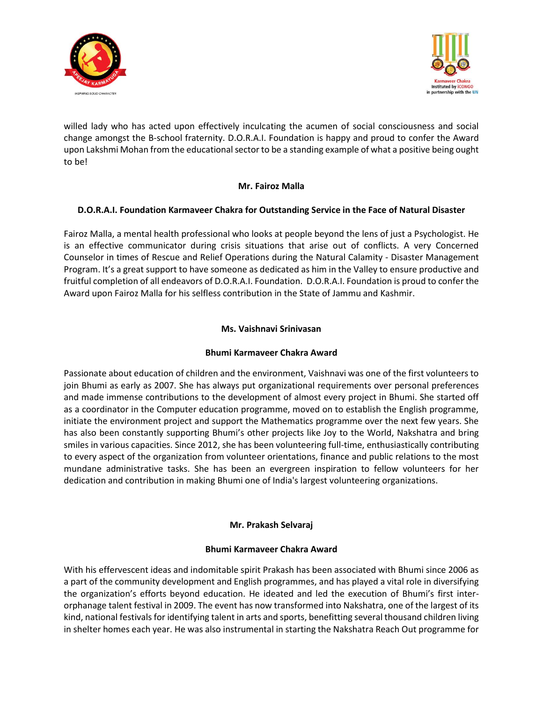



willed lady who has acted upon effectively inculcating the acumen of social consciousness and social change amongst the B-school fraternity. D.O.R.A.I. Foundation is happy and proud to confer the Award upon Lakshmi Mohan from the educational sector to be a standing example of what a positive being ought to be!

#### **Mr. Fairoz Malla**

## **D.O.R.A.I. Foundation Karmaveer Chakra for Outstanding Service in the Face of Natural Disaster**

Fairoz Malla, a mental health professional who looks at people beyond the lens of just a Psychologist. He is an effective communicator during crisis situations that arise out of conflicts. A very Concerned Counselor in times of Rescue and Relief Operations during the Natural Calamity - Disaster Management Program. It's a great support to have someone as dedicated as him in the Valley to ensure productive and fruitful completion of all endeavors of D.O.R.A.I. Foundation. D.O.R.A.I. Foundation is proud to confer the Award upon Fairoz Malla for his selfless contribution in the State of Jammu and Kashmir.

## **Ms. Vaishnavi Srinivasan**

#### **Bhumi Karmaveer Chakra Award**

Passionate about education of children and the environment, Vaishnavi was one of the first volunteers to join Bhumi as early as 2007. She has always put organizational requirements over personal preferences and made immense contributions to the development of almost every project in Bhumi. She started off as a coordinator in the Computer education programme, moved on to establish the English programme, initiate the environment project and support the Mathematics programme over the next few years. She has also been constantly supporting Bhumi's other projects like Joy to the World, Nakshatra and bring smiles in various capacities. Since 2012, she has been volunteering full-time, enthusiastically contributing to every aspect of the organization from volunteer orientations, finance and public relations to the most mundane administrative tasks. She has been an evergreen inspiration to fellow volunteers for her dedication and contribution in making Bhumi one of India's largest volunteering organizations.

#### **Mr. Prakash Selvaraj**

#### **Bhumi Karmaveer Chakra Award**

With his effervescent ideas and indomitable spirit Prakash has been associated with Bhumi since 2006 as a part of the community development and English programmes, and has played a vital role in diversifying the organization's efforts beyond education. He ideated and led the execution of Bhumi's first interorphanage talent festival in 2009. The event has now transformed into Nakshatra, one of the largest of its kind, national festivals for identifying talent in arts and sports, benefitting several thousand children living in shelter homes each year. He was also instrumental in starting the Nakshatra Reach Out programme for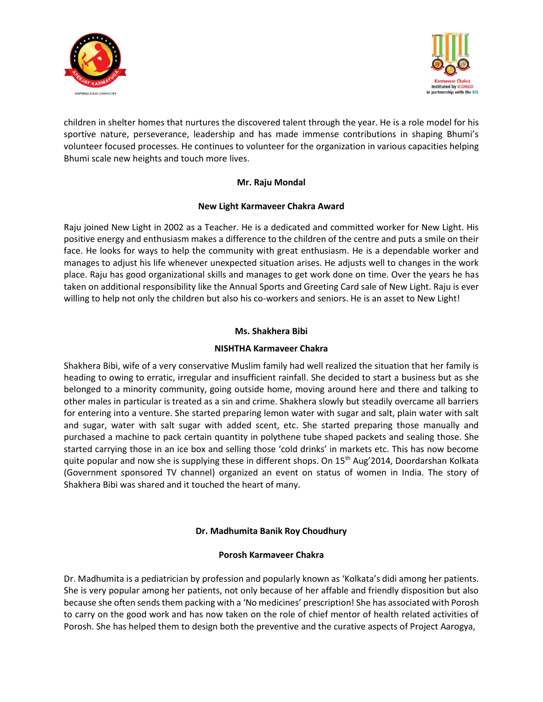



children in shelter homes that nurtures the discovered talent through the year. He is a role model for his sportive nature, perseverance, leadership and has made immense contributions in shaping Bhumi's volunteer focused processes. He continues to volunteer for the organization in various capacities helping Bhumi scale new heights and touch more lives.

## **Mr. Raju Mondal**

## **New Light Karmaveer Chakra Award**

Raju joined New Light in 2002 as a Teacher. He is a dedicated and committed worker for New Light. His positive energy and enthusiasm makes a difference to the children of the centre and puts a smile on their face. He looks for ways to help the community with great enthusiasm. He is a dependable worker and manages to adjust his life whenever unexpected situation arises. He adjusts well to changes in the work place. Raju has good organizational skills and manages to get work done on time. Over the years he has taken on additional responsibility like the Annual Sports and Greeting Card sale of New Light. Raju is ever willing to help not only the children but also his co-workers and seniors. He is an asset to New Light!

## **Ms. Shakhera Bibi**

#### **NISHTHA Karmaveer Chakra**

Shakhera Bibi, wife of a very conservative Muslim family had well realized the situation that her family is heading to owing to erratic, irregular and insufficient rainfall. She decided to start a business but as she belonged to a minority community, going outside home, moving around here and there and talking to other males in particular is treated as a sin and crime. Shakhera slowly but steadily overcame all barriers for entering into a venture. She started preparing lemon water with sugar and salt, plain water with salt and sugar, water with salt sugar with added scent, etc. She started preparing those manually and purchased a machine to pack certain quantity in polythene tube shaped packets and sealing those. She started carrying those in an ice box and selling those 'cold drinks' in markets etc. This has now become quite popular and now she is supplying these in different shops. On 15<sup>th</sup> Aug'2014, Doordarshan Kolkata (Government sponsored TV channel) organized an event on status of women in India. The story of Shakhera Bibi was shared and it touched the heart of many.

## **Dr. Madhumita Banik Roy Choudhury**

#### **Porosh Karmaveer Chakra**

Dr. Madhumita is a pediatrician by profession and popularly known as 'Kolkata's didi among her patients. She is very popular among her patients, not only because of her affable and friendly disposition but also because she often sends them packing with a 'No medicines' prescription! She has associated with Porosh to carry on the good work and has now taken on the role of chief mentor of health related activities of Porosh. She has helped them to design both the preventive and the curative aspects of Project Aarogya,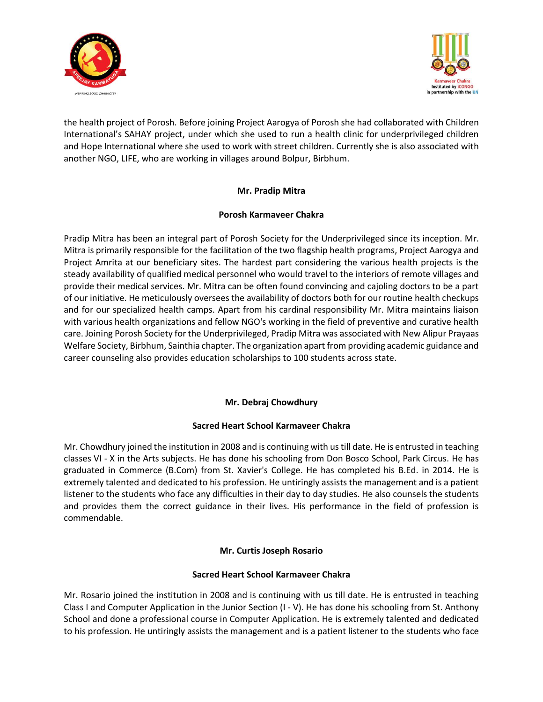



the health project of Porosh. Before joining Project Aarogya of Porosh she had collaborated with Children International's SAHAY project, under which she used to run a health clinic for underprivileged children and Hope International where she used to work with street children. Currently she is also associated with another NGO, LIFE, who are working in villages around Bolpur, Birbhum.

## **Mr. Pradip Mitra**

## **Porosh Karmaveer Chakra**

Pradip Mitra has been an integral part of Porosh Society for the Underprivileged since its inception. Mr. Mitra is primarily responsible for the facilitation of the two flagship health programs, Project Aarogya and Project Amrita at our beneficiary sites. The hardest part considering the various health projects is the steady availability of qualified medical personnel who would travel to the interiors of remote villages and provide their medical services. Mr. Mitra can be often found convincing and cajoling doctors to be a part of our initiative. He meticulously oversees the availability of doctors both for our routine health checkups and for our specialized health camps. Apart from his cardinal responsibility Mr. Mitra maintains liaison with various health organizations and fellow NGO's working in the field of preventive and curative health care. Joining Porosh Society for the Underprivileged, Pradip Mitra was associated with New Alipur Prayaas Welfare Society, Birbhum, Sainthia chapter. The organization apart from providing academic guidance and career counseling also provides education scholarships to 100 students across state.

# **Mr. Debraj Chowdhury**

## **Sacred Heart School Karmaveer Chakra**

Mr. Chowdhury joined the institution in 2008 and is continuing with us till date. He is entrusted in teaching classes VI - X in the Arts subjects. He has done his schooling from Don Bosco School, Park Circus. He has graduated in Commerce (B.Com) from St. Xavier's College. He has completed his B.Ed. in 2014. He is extremely talented and dedicated to his profession. He untiringly assists the management and is a patient listener to the students who face any difficulties in their day to day studies. He also counsels the students and provides them the correct guidance in their lives. His performance in the field of profession is commendable.

## **Mr. Curtis Joseph Rosario**

## **Sacred Heart School Karmaveer Chakra**

Mr. Rosario joined the institution in 2008 and is continuing with us till date. He is entrusted in teaching Class I and Computer Application in the Junior Section (I - V). He has done his schooling from St. Anthony School and done a professional course in Computer Application. He is extremely talented and dedicated to his profession. He untiringly assists the management and is a patient listener to the students who face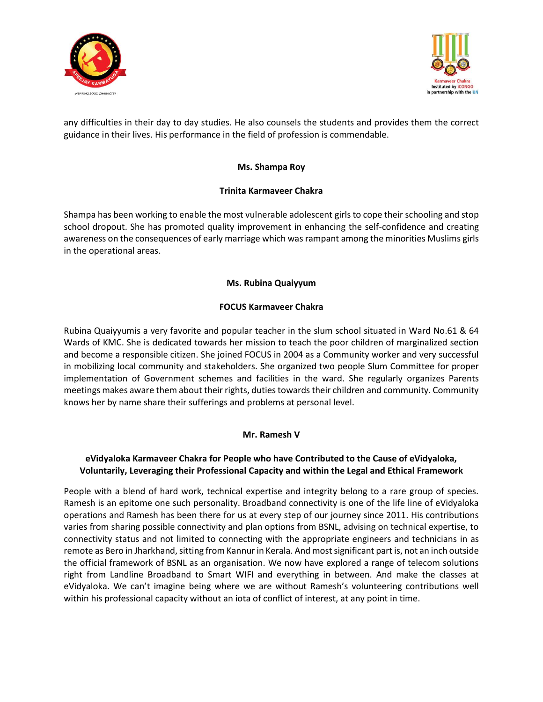



any difficulties in their day to day studies. He also counsels the students and provides them the correct guidance in their lives. His performance in the field of profession is commendable.

#### **Ms. Shampa Roy**

## **Trinita Karmaveer Chakra**

Shampa has been working to enable the most vulnerable adolescent girls to cope their schooling and stop school dropout. She has promoted quality improvement in enhancing the self-confidence and creating awareness on the consequences of early marriage which was rampant among the minorities Muslims girls in the operational areas.

#### **Ms. Rubina Quaiyyum**

#### **FOCUS Karmaveer Chakra**

Rubina Quaiyyumis a very favorite and popular teacher in the slum school situated in Ward No.61 & 64 Wards of KMC. She is dedicated towards her mission to teach the poor children of marginalized section and become a responsible citizen. She joined FOCUS in 2004 as a Community worker and very successful in mobilizing local community and stakeholders. She organized two people Slum Committee for proper implementation of Government schemes and facilities in the ward. She regularly organizes Parents meetings makes aware them about their rights, duties towards their children and community. Community knows her by name share their sufferings and problems at personal level.

#### **Mr. Ramesh V**

#### **eVidyaloka Karmaveer Chakra for People who have Contributed to the Cause of eVidyaloka, Voluntarily, Leveraging their Professional Capacity and within the Legal and Ethical Framework**

People with a blend of hard work, technical expertise and integrity belong to a rare group of species. Ramesh is an epitome one such personality. Broadband connectivity is one of the life line of eVidyaloka operations and Ramesh has been there for us at every step of our journey since 2011. His contributions varies from sharing possible connectivity and plan options from BSNL, advising on technical expertise, to connectivity status and not limited to connecting with the appropriate engineers and technicians in as remote as Bero in Jharkhand, sitting from Kannur in Kerala. And most significant part is, not an inch outside the official framework of BSNL as an organisation. We now have explored a range of telecom solutions right from Landline Broadband to Smart WIFI and everything in between. And make the classes at eVidyaloka. We can't imagine being where we are without Ramesh's volunteering contributions well within his professional capacity without an iota of conflict of interest, at any point in time.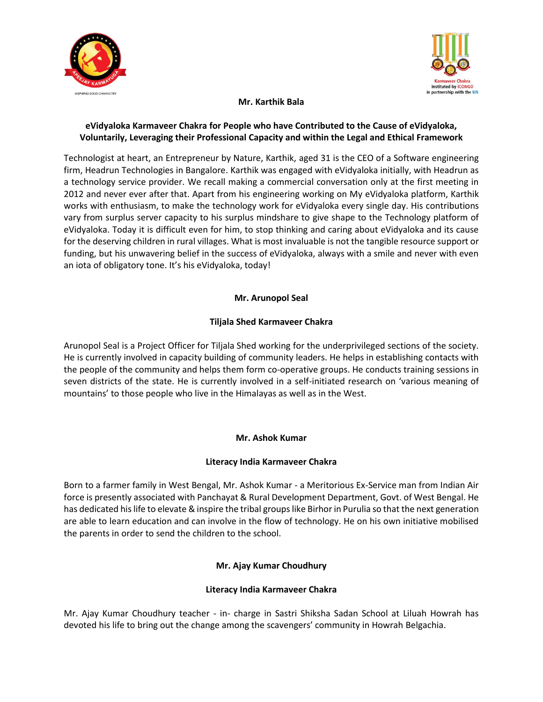



## **Mr. Karthik Bala**

## **eVidyaloka Karmaveer Chakra for People who have Contributed to the Cause of eVidyaloka, Voluntarily, Leveraging their Professional Capacity and within the Legal and Ethical Framework**

Technologist at heart, an Entrepreneur by Nature, Karthik, aged 31 is the CEO of a Software engineering firm, Headrun Technologies in Bangalore. Karthik was engaged with eVidyaloka initially, with Headrun as a technology service provider. We recall making a commercial conversation only at the first meeting in 2012 and never ever after that. Apart from his engineering working on My eVidyaloka platform, Karthik works with enthusiasm, to make the technology work for eVidyaloka every single day. His contributions vary from surplus server capacity to his surplus mindshare to give shape to the Technology platform of eVidyaloka. Today it is difficult even for him, to stop thinking and caring about eVidyaloka and its cause for the deserving children in rural villages. What is most invaluable is not the tangible resource support or funding, but his unwavering belief in the success of eVidyaloka, always with a smile and never with even an iota of obligatory tone. It's his eVidyaloka, today!

## **Mr. Arunopol Seal**

## **Tiljala Shed Karmaveer Chakra**

Arunopol Seal is a Project Officer for Tiljala Shed working for the underprivileged sections of the society. He is currently involved in capacity building of community leaders. He helps in establishing contacts with the people of the community and helps them form co-operative groups. He conducts training sessions in seven districts of the state. He is currently involved in a self-initiated research on 'various meaning of mountains' to those people who live in the Himalayas as well as in the West.

## **Mr. Ashok Kumar**

## **Literacy India Karmaveer Chakra**

Born to a farmer family in West Bengal, Mr. Ashok Kumar - a Meritorious Ex-Service man from Indian Air force is presently associated with Panchayat & Rural Development Department, Govt. of West Bengal. He has dedicated his life to elevate & inspire the tribal groups like Birhor in Purulia so that the next generation are able to learn education and can involve in the flow of technology. He on his own initiative mobilised the parents in order to send the children to the school.

## **Mr. Ajay Kumar Choudhury**

## **Literacy India Karmaveer Chakra**

Mr. Ajay Kumar Choudhury teacher - in- charge in Sastri Shiksha Sadan School at Liluah Howrah has devoted his life to bring out the change among the scavengers' community in Howrah Belgachia.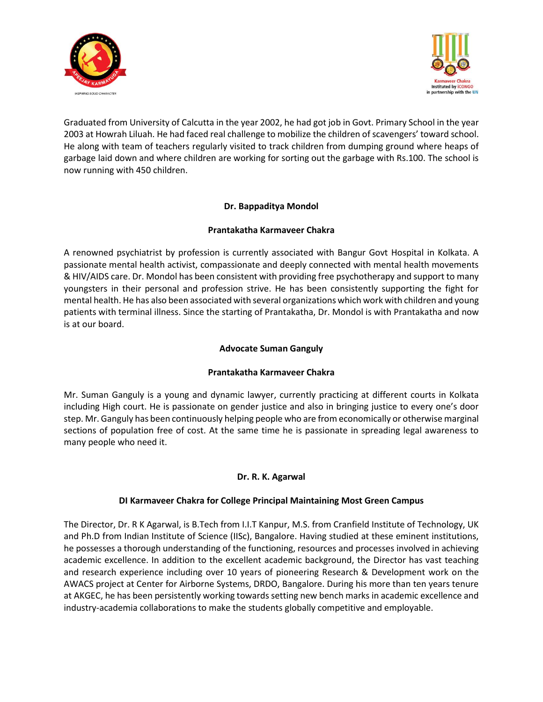



Graduated from University of Calcutta in the year 2002, he had got job in Govt. Primary School in the year 2003 at Howrah Liluah. He had faced real challenge to mobilize the children of scavengers' toward school. He along with team of teachers regularly visited to track children from dumping ground where heaps of garbage laid down and where children are working for sorting out the garbage with Rs.100. The school is now running with 450 children.

## **Dr. Bappaditya Mondol**

## **Prantakatha Karmaveer Chakra**

A renowned psychiatrist by profession is currently associated with Bangur Govt Hospital in Kolkata. A passionate mental health activist, compassionate and deeply connected with mental health movements & HIV/AIDS care. Dr. Mondol has been consistent with providing free psychotherapy and support to many youngsters in their personal and profession strive. He has been consistently supporting the fight for mental health. He has also been associated with several organizations which work with children and young patients with terminal illness. Since the starting of Prantakatha, Dr. Mondol is with Prantakatha and now is at our board.

## **Advocate Suman Ganguly**

## **Prantakatha Karmaveer Chakra**

Mr. Suman Ganguly is a young and dynamic lawyer, currently practicing at different courts in Kolkata including High court. He is passionate on gender justice and also in bringing justice to every one's door step. Mr. Ganguly has been continuously helping people who are from economically or otherwise marginal sections of population free of cost. At the same time he is passionate in spreading legal awareness to many people who need it.

## **Dr. R. K. Agarwal**

## **DI Karmaveer Chakra for College Principal Maintaining Most Green Campus**

The Director, Dr. R K Agarwal, is B.Tech from I.I.T Kanpur, M.S. from Cranfield Institute of Technology, UK and Ph.D from Indian Institute of Science (IISc), Bangalore. Having studied at these eminent institutions, he possesses a thorough understanding of the functioning, resources and processes involved in achieving academic excellence. In addition to the excellent academic background, the Director has vast teaching and research experience including over 10 years of pioneering Research & Development work on the AWACS project at Center for Airborne Systems, DRDO, Bangalore. During his more than ten years tenure at AKGEC, he has been persistently working towards setting new bench marks in academic excellence and industry-academia collaborations to make the students globally competitive and employable.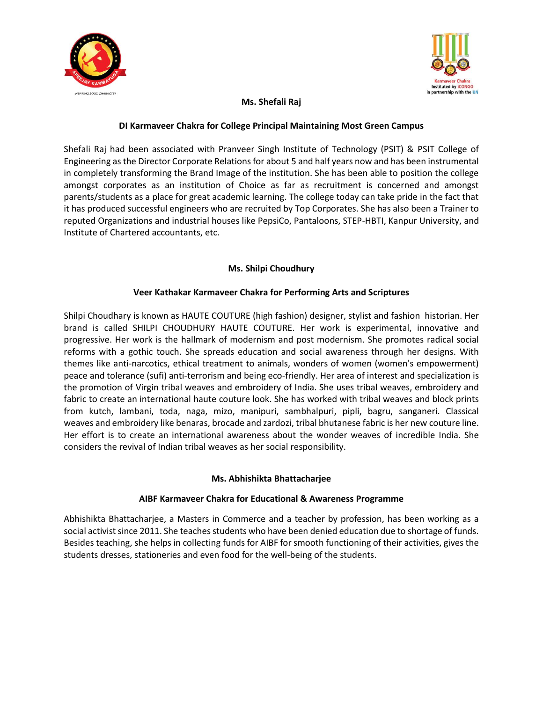



# **Ms. Shefali Raj**

## **DI Karmaveer Chakra for College Principal Maintaining Most Green Campus**

Shefali Raj had been associated with Pranveer Singh Institute of Technology (PSIT) & PSIT College of Engineering as the Director Corporate Relations for about 5 and half years now and has been instrumental in completely transforming the Brand Image of the institution. She has been able to position the college amongst corporates as an institution of Choice as far as recruitment is concerned and amongst parents/students as a place for great academic learning. The college today can take pride in the fact that it has produced successful engineers who are recruited by Top Corporates. She has also been a Trainer to reputed Organizations and industrial houses like PepsiCo, Pantaloons, STEP-HBTI, Kanpur University, and Institute of Chartered accountants, etc.

## **Ms. Shilpi Choudhury**

## **Veer Kathakar Karmaveer Chakra for Performing Arts and Scriptures**

Shilpi Choudhary is known as HAUTE COUTURE (high fashion) designer, stylist and fashion historian. Her brand is called SHILPI CHOUDHURY HAUTE COUTURE. Her work is experimental, innovative and progressive. Her work is the hallmark of modernism and post modernism. She promotes radical social reforms with a gothic touch. She spreads education and social awareness through her designs. With themes like anti-narcotics, ethical treatment to animals, wonders of women (women's empowerment) peace and tolerance (sufi) anti-terrorism and being eco-friendly. Her area of interest and specialization is the promotion of Virgin tribal weaves and embroidery of India. She uses tribal weaves, embroidery and fabric to create an international haute couture look. She has worked with tribal weaves and block prints from kutch, lambani, toda, naga, mizo, manipuri, sambhalpuri, pipli, bagru, sanganeri. Classical weaves and embroidery like benaras, brocade and zardozi, tribal bhutanese fabric is her new couture line. Her effort is to create an international awareness about the wonder weaves of incredible India. She considers the revival of Indian tribal weaves as her social responsibility.

## **Ms. Abhishikta Bhattacharjee**

## **AIBF Karmaveer Chakra for Educational & Awareness Programme**

Abhishikta Bhattacharjee, a Masters in Commerce and a teacher by profession, has been working as a social activist since 2011. She teaches students who have been denied education due to shortage of funds. Besides teaching, she helps in collecting funds for AIBF for smooth functioning of their activities, gives the students dresses, stationeries and even food for the well-being of the students.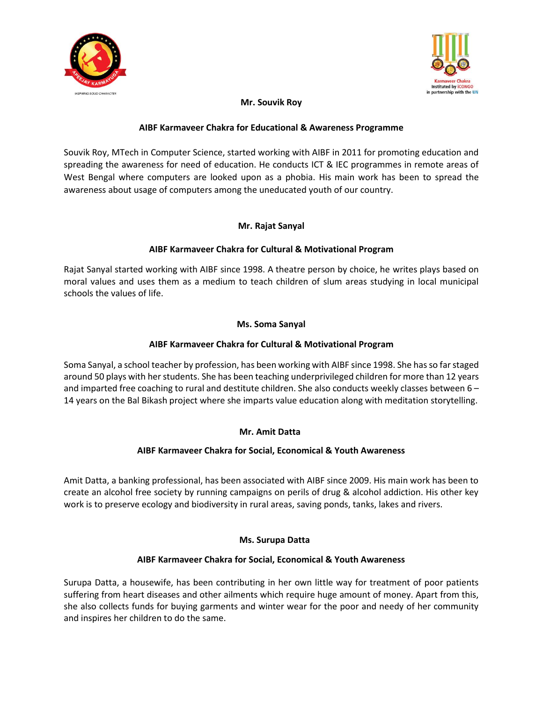



# **Mr. Souvik Roy**

#### **AIBF Karmaveer Chakra for Educational & Awareness Programme**

Souvik Roy, MTech in Computer Science, started working with AIBF in 2011 for promoting education and spreading the awareness for need of education. He conducts ICT & IEC programmes in remote areas of West Bengal where computers are looked upon as a phobia. His main work has been to spread the awareness about usage of computers among the uneducated youth of our country.

#### **Mr. Rajat Sanyal**

## **AIBF Karmaveer Chakra for Cultural & Motivational Program**

Rajat Sanyal started working with AIBF since 1998. A theatre person by choice, he writes plays based on moral values and uses them as a medium to teach children of slum areas studying in local municipal schools the values of life.

#### **Ms. Soma Sanyal**

## **AIBF Karmaveer Chakra for Cultural & Motivational Program**

Soma Sanyal, a school teacher by profession, has been working with AIBF since 1998. She has so far staged around 50 plays with her students. She has been teaching underprivileged children for more than 12 years and imparted free coaching to rural and destitute children. She also conducts weekly classes between 6 – 14 years on the Bal Bikash project where she imparts value education along with meditation storytelling.

## **Mr. Amit Datta**

#### **AIBF Karmaveer Chakra for Social, Economical & Youth Awareness**

Amit Datta, a banking professional, has been associated with AIBF since 2009. His main work has been to create an alcohol free society by running campaigns on perils of drug & alcohol addiction. His other key work is to preserve ecology and biodiversity in rural areas, saving ponds, tanks, lakes and rivers.

#### **Ms. Surupa Datta**

#### **AIBF Karmaveer Chakra for Social, Economical & Youth Awareness**

Surupa Datta, a housewife, has been contributing in her own little way for treatment of poor patients suffering from heart diseases and other ailments which require huge amount of money. Apart from this, she also collects funds for buying garments and winter wear for the poor and needy of her community and inspires her children to do the same.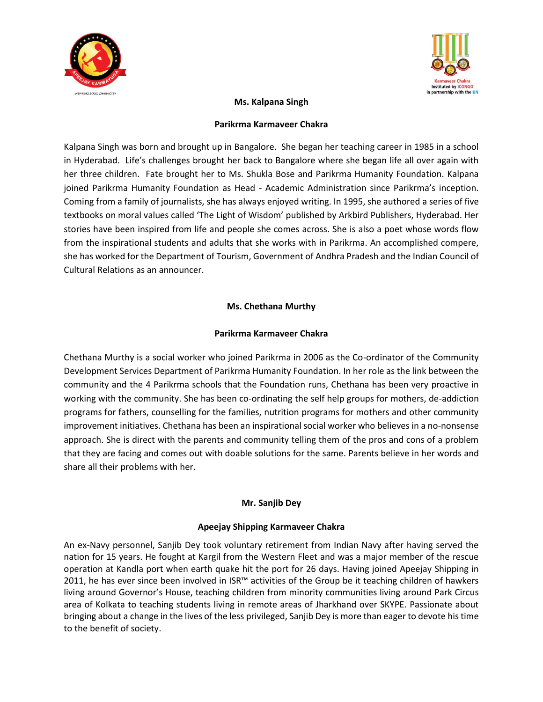



## **Ms. Kalpana Singh**

#### **Parikrma Karmaveer Chakra**

Kalpana Singh was born and brought up in Bangalore. She began her teaching career in 1985 in a school in Hyderabad. Life's challenges brought her back to Bangalore where she began life all over again with her three children. Fate brought her to Ms. Shukla Bose and Parikrma Humanity Foundation. Kalpana joined Parikrma Humanity Foundation as Head - Academic Administration since Parikrma's inception. Coming from a family of journalists, she has always enjoyed writing. In 1995, she authored a series of five textbooks on moral values called 'The Light of Wisdom' published by Arkbird Publishers, Hyderabad. Her stories have been inspired from life and people she comes across. She is also a poet whose words flow from the inspirational students and adults that she works with in Parikrma. An accomplished compere, she has worked for the Department of Tourism, Government of Andhra Pradesh and the Indian Council of Cultural Relations as an announcer.

# **Ms. Chethana Murthy**

## **Parikrma Karmaveer Chakra**

Chethana Murthy is a social worker who joined Parikrma in 2006 as the Co-ordinator of the Community Development Services Department of Parikrma Humanity Foundation. In her role as the link between the community and the 4 Parikrma schools that the Foundation runs, Chethana has been very proactive in working with the community. She has been co-ordinating the self help groups for mothers, de-addiction programs for fathers, counselling for the families, nutrition programs for mothers and other community improvement initiatives. Chethana has been an inspirational social worker who believes in a no-nonsense approach. She is direct with the parents and community telling them of the pros and cons of a problem that they are facing and comes out with doable solutions for the same. Parents believe in her words and share all their problems with her.

## **Mr. Sanjib Dey**

## **Apeejay Shipping Karmaveer Chakra**

An ex-Navy personnel, Sanjib Dey took voluntary retirement from Indian Navy after having served the nation for 15 years. He fought at Kargil from the Western Fleet and was a major member of the rescue operation at Kandla port when earth quake hit the port for 26 days. Having joined Apeejay Shipping in 2011, he has ever since been involved in ISR™ activities of the Group be it teaching children of hawkers living around Governor's House, teaching children from minority communities living around Park Circus area of Kolkata to teaching students living in remote areas of Jharkhand over SKYPE. Passionate about bringing about a change in the lives of the less privileged, Sanjib Dey is more than eager to devote his time to the benefit of society.